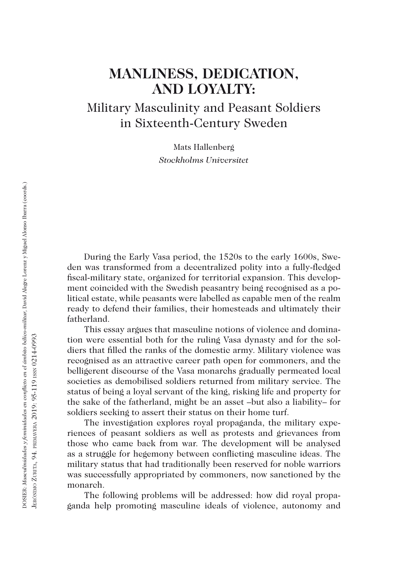# **MANLINESS, DEDICATION, AND LOYALTY:**

Military Masculinity and Peasant Soldiers in Sixteenth-Century Sweden

> Mats Hallenberg *Stockholms Universitet*

During the Early Vasa period, the 1520s to the early 1600s, Sweden was transformed from a decentralized polity into a fully-fledged fiscal-military state, organized for territorial expansion. This development coincided with the Swedish peasantry being recognised as a political estate, while peasants were labelled as capable men of the realm ready to defend their families, their homesteads and ultimately their fatherland.

This essay argues that masculine notions of violence and domination were essential both for the ruling Vasa dynasty and for the soldiers that filled the ranks of the domestic army. Military violence was recognised as an attractive career path open for commoners, and the belligerent discourse of the Vasa monarchs gradually permeated local societies as demobilised soldiers returned from military service. The status of being a loyal servant of the king, risking life and property for the sake of the fatherland, might be an asset –but also a liability– for soldiers seeking to assert their status on their home turf.

The investigation explores royal propaganda, the military experiences of peasant soldiers as well as protests and grievances from those who came back from war. The development will be analysed as a struggle for hegemony between conflicting masculine ideas. The military status that had traditionally been reserved for noble warriors was successfully appropriated by commoners, now sanctioned by the monarch.

The following problems will be addressed: how did royal propaganda help promoting masculine ideals of violence, autonomy and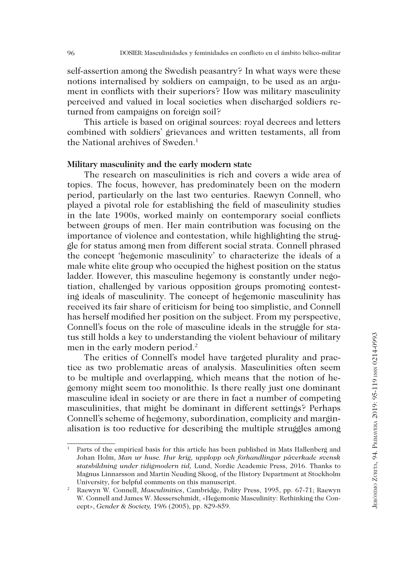self-assertion among the Swedish peasantry? In what ways were these notions internalised by soldiers on campaign, to be used as an argument in conflicts with their superiors? How was military masculinity perceived and valued in local societies when discharged soldiers returned from campaigns on foreign soil?

This article is based on original sources: royal decrees and letters combined with soldiers' grievances and written testaments, all from the National archives of Sweden.<sup>1</sup>

#### **Military masculinity and the early modern state**

The research on masculinities is rich and covers a wide area of topics. The focus, however, has predominately been on the modern period, particularly on the last two centuries. Raewyn Connell, who played a pivotal role for establishing the field of masculinity studies in the late 1900s, worked mainly on contemporary social conflicts between groups of men. Her main contribution was focusing on the importance of violence and contestation, while highlighting the struggle for status among men from different social strata. Connell phrased the concept 'hegemonic masculinity' to characterize the ideals of a male white elite group who occupied the highest position on the status ladder. However, this masculine hegemony is constantly under negotiation, challenged by various opposition groups promoting contesting ideals of masculinity. The concept of hegemonic masculinity has received its fair share of criticism for being too simplistic, and Connell has herself modified her position on the subject. From my perspective, Connell's focus on the role of masculine ideals in the struggle for status still holds a key to understanding the violent behaviour of military men in the early modern period.<sup>2</sup>

The critics of Connell's model have targeted plurality and practice as two problematic areas of analysis. Masculinities often seem to be multiple and overlapping, which means that the notion of hegemony might seem too monolithic. Is there really just one dominant masculine ideal in society or are there in fact a number of competing masculinities, that might be dominant in different settings? Perhaps Connell's scheme of hegemony, subordination, complicity and marginalisation is too reductive for describing the multiple struggles among

<sup>1</sup> Parts of the empirical basis for this article has been published in Mats Hallenberg and Johan Holm, *Man ur huse. Hur krig, upplopp och förhandlingar påverkade svensk statsbildning under tidigmodern tid,* Lund, Nordic Academic Press, 2016. Thanks to Magnus Linnarsson and Martin Neuding Skoog, of the History Department at Stockholm University, for helpful comments on this manuscript.

<sup>2</sup> Raewyn W. Connell, *Masculinities*, Cambridge, Polity Press, 1995, pp. 67-71; Raewyn W. Connell and James W. Messerschmidt, «Hegemonic Masculinity: Rethinking the Concept», *Gender & Society,* 19/6 (2005), pp. 829-859.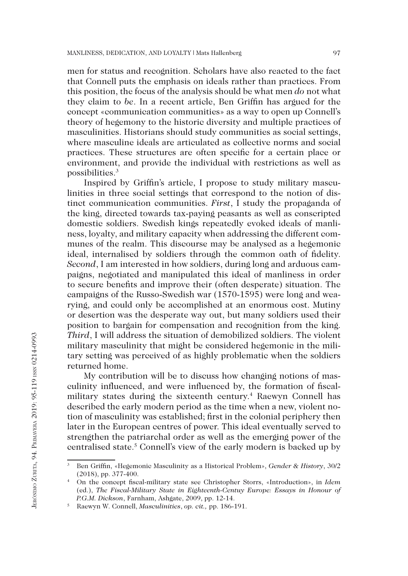men for status and recognition. Scholars have also reacted to the fact that Connell puts the emphasis on ideals rather than practices. From this position, the focus of the analysis should be what men *do* not what they claim to *be*. In a recent article, Ben Griffin has argued for the concept «communication communities» as a way to open up Connell's theory of hegemony to the historic diversity and multiple practices of masculinities. Historians should study communities as social settings, where masculine ideals are articulated as collective norms and social practices. These structures are often specific for a certain place or environment, and provide the individual with restrictions as well as possibilities.3

Inspired by Griffin's article, I propose to study military masculinities in three social settings that correspond to the notion of distinct communication communities. *First*, I study the propaganda of the king, directed towards tax-paying peasants as well as conscripted domestic soldiers. Swedish kings repeatedly evoked ideals of manliness, loyalty, and military capacity when addressing the different communes of the realm. This discourse may be analysed as a hegemonic ideal, internalised by soldiers through the common oath of fidelity. *Second*, I am interested in how soldiers, during long and arduous campaigns, negotiated and manipulated this ideal of manliness in order to secure benefits and improve their (often desperate) situation. The campaigns of the Russo-Swedish war (1570-1595) were long and wearying, and could only be accomplished at an enormous cost. Mutiny or desertion was the desperate way out, but many soldiers used their position to bargain for compensation and recognition from the king. *Third*, I will address the situation of demobilized soldiers. The violent military masculinity that might be considered hegemonic in the military setting was perceived of as highly problematic when the soldiers returned home.

My contribution will be to discuss how changing notions of masculinity influenced, and were influenced by, the formation of fiscalmilitary states during the sixteenth century.4 Raewyn Connell has described the early modern period as the time when a new, violent notion of masculinity was established; first in the colonial periphery then later in the European centres of power. This ideal eventually served to strengthen the patriarchal order as well as the emerging power of the centralised state.<sup>5</sup> Connell's view of the early modern is backed up by

Jerónimo Zurita, 94. Primavera 2019: 95-119 issn 0214-0993

JERÓNIMO ZURITA, 94. PRIMAVERA 2019: 95-119 ISSN 0214-0993

<sup>3</sup> Ben Griffin, «Hegemonic Masculinity as a Historical Problem», *Gender & History*, 30/2 (2018), pp. 377-400.

<sup>4</sup> On the concept fiscal-military state see Christopher Storrs, «Introduction», in *Idem* (ed.), *The Fiscal-Military State in Eighteenth-Centuy Europe: Essays in Honour of P.G.M. Dickson*, Farnham, Ashgate, 2009, pp. 12-14.

<sup>5</sup> Raewyn W. Connell, *Masculinities*, *op. cit.,* pp. 186-191.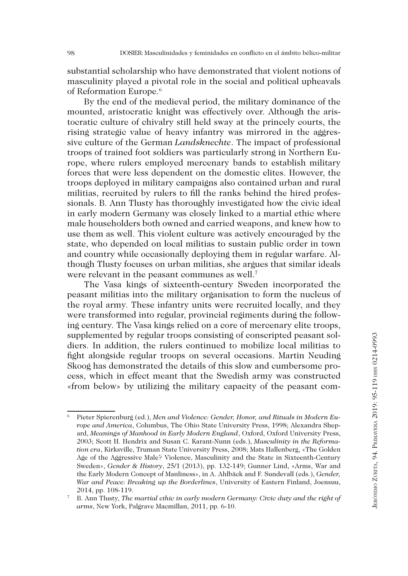substantial scholarship who have demonstrated that violent notions of masculinity played a pivotal role in the social and political upheavals of Reformation Europe.6

By the end of the medieval period, the military dominance of the mounted, aristocratic knight was effectively over. Although the aristocratic culture of chivalry still held sway at the princely courts, the rising strategic value of heavy infantry was mirrored in the aggressive culture of the German *Landsknechte*. The impact of professional troops of trained foot soldiers was particularly strong in Northern Europe, where rulers employed mercenary bands to establish military forces that were less dependent on the domestic elites. However, the troops deployed in military campaigns also contained urban and rural militias, recruited by rulers to fill the ranks behind the hired professionals. B. Ann Tlusty has thoroughly investigated how the civic ideal in early modern Germany was closely linked to a martial ethic where male householders both owned and carried weapons, and knew how to use them as well. This violent culture was actively encouraged by the state, who depended on local militias to sustain public order in town and country while occasionally deploying them in regular warfare. Although Tlusty focuses on urban militias, she argues that similar ideals were relevant in the peasant communes as well.<sup>7</sup>

The Vasa kings of sixteenth-century Sweden incorporated the peasant militias into the military organisation to form the nucleus of the royal army. These infantry units were recruited locally, and they were transformed into regular, provincial regiments during the following century. The Vasa kings relied on a core of mercenary elite troops, supplemented by regular troops consisting of conscripted peasant soldiers. In addition, the rulers continued to mobilize local militias to fight alongside regular troops on several occasions. Martin Neuding Skoog has demonstrated the details of this slow and cumbersome process, which in effect meant that the Swedish army was constructed «from below» by utilizing the military capacity of the peasant com-

Pieter Spierenburg (ed.), Men and Violence: Gender, Honor, and Rituals in Modern Eu*rope and America*, Columbus, The Ohio State University Press, 1998; Alexandra Shepard, *Meanings of Manhood in Early Modern England*, Oxford, Oxford University Press, 2003; Scott H. Hendrix and Susan C. Karant-Nunn (eds.), *Masculinity in the Reformation era*, Kirksville, Truman State University Press, 2008; Mats Hallenberg, «The Golden Age of the Aggressive Male? Violence, Masculinity and the State in Sixteenth-Century Sweden», *Gender & History*, 25/1 (2013), pp. 132-149; Gunner Lind, «Arms, War and the Early Modern Concept of Manliness», in A. Ahlbäck and F. Sundevall (eds.), *Gender, War and Peace: Breaking up the Borderlines*, University of Eastern Finland, Joensuu, 2014, pp. 108-119.

<sup>7</sup> B. Ann Tlusty, *The martial ethic in early modern Germany: Civic duty and the right of arms*, New York, Palgrave Macmillan, 2011, pp. 6-10.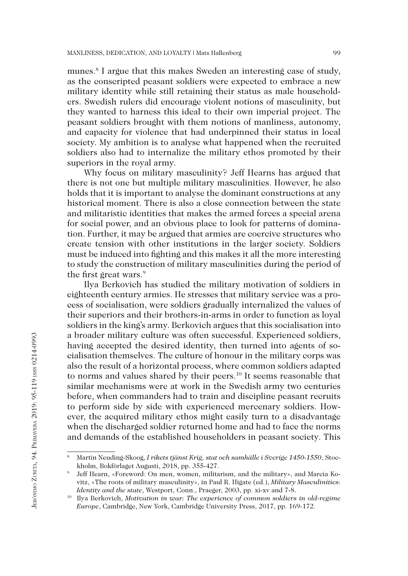munes.8 I argue that this makes Sweden an interesting case of study, as the conscripted peasant soldiers were expected to embrace a new military identity while still retaining their status as male householders. Swedish rulers did encourage violent notions of masculinity, but they wanted to harness this ideal to their own imperial project. The peasant soldiers brought with them notions of manliness, autonomy, and capacity for violence that had underpinned their status in local society. My ambition is to analyse what happened when the recruited soldiers also had to internalize the military ethos promoted by their superiors in the royal army.

Why focus on military masculinity? Jeff Hearns has argued that there is not one but multiple military masculinities. However, he also holds that it is important to analyse the dominant constructions at any historical moment. There is also a close connection between the state and militaristic identities that makes the armed forces a special arena for social power, and an obvious place to look for patterns of domination. Further, it may be argued that armies are coercive structures who create tension with other institutions in the larger society. Soldiers must be induced into fighting and this makes it all the more interesting to study the construction of military masculinities during the period of the first great wars.<sup>9</sup>

Ilya Berkovich has studied the military motivation of soldiers in eighteenth century armies. He stresses that military service was a process of socialisation, were soldiers gradually internalized the values of their superiors and their brothers-in-arms in order to function as loyal soldiers in the king's army. Berkovich argues that this socialisation into a broader military culture was often successful. Experienced soldiers, having accepted the desired identity, then turned into agents of socialisation themselves. The culture of honour in the military corps was also the result of a horizontal process, where common soldiers adapted to norms and values shared by their peers.10 It seems reasonable that similar mechanisms were at work in the Swedish army two centuries before, when commanders had to train and discipline peasant recruits to perform side by side with experienced mercenary soldiers. However, the acquired military ethos might easily turn to a disadvantage when the discharged soldier returned home and had to face the norms and demands of the established householders in peasant society. This

<sup>8</sup> Martin Neuding-Skoog, *I rikets tjänst Krig, stat och samhälle i Sverige 1450-1550*, Stockholm, Bokförlaget Augusti, 2018, pp. 355-427.

<sup>9</sup> Jeff Hearn, «Foreword: On men, women, militarism, and the military», and Marcia Kovitz, «The roots of military masculinity», in Paul R. Higate (ed.), *Military Masculinities: Identity and the state*, Westport, Conn., Praeger, 2003, pp. xi-xv and 7-8.<br><sup>10</sup> Ilya Berkovich, *Motivation in war: The experience of common soldiers in old-regime* 

*Europe*, Cambridge, New York, Cambridge University Press, 2017, pp. 169-172.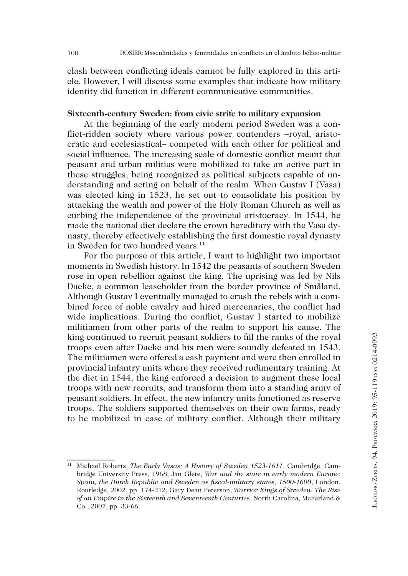clash between conflicting ideals cannot be fully explored in this article. However, I will discuss some examples that indicate how military identity did function in different communicative communities.

#### **Sixteenth-century Sweden: from civic strife to military expansion**

At the beginning of the early modern period Sweden was a conflict-ridden society where various power contenders –royal, aristocratic and ecclesiastical– competed with each other for political and social influence. The increasing scale of domestic conflict meant that peasant and urban militias were mobilized to take an active part in these struggles, being recognized as political subjects capable of understanding and acting on behalf of the realm. When Gustav I (Vasa) was elected king in 1523, he set out to consolidate his position by attacking the wealth and power of the Holy Roman Church as well as curbing the independence of the provincial aristocracy. In 1544, he made the national diet declare the crown hereditary with the Vasa dynasty, thereby effectively establishing the first domestic royal dynasty in Sweden for two hundred years.<sup>11</sup>

For the purpose of this article, I want to highlight two important moments in Swedish history. In 1542 the peasants of southern Sweden rose in open rebellion against the king. The uprising was led by Nils Dacke, a common leaseholder from the border province of Småland. Although Gustav I eventually managed to crush the rebels with a combined force of noble cavalry and hired mercenaries, the conflict had wide implications. During the conflict, Gustav I started to mobilize militiamen from other parts of the realm to support his cause. The king continued to recruit peasant soldiers to fill the ranks of the royal troops even after Dacke and his men were soundly defeated in 1543. The militiamen were offered a cash payment and were then enrolled in provincial infantry units where they received rudimentary training. At the diet in 1544, the king enforced a decision to augment these local troops with new recruits, and transform them into a standing army of peasant soldiers. In effect, the new infantry units functioned as reserve troops. The soldiers supported themselves on their own farms, ready to be mobilized in case of military conflict. Although their military

<sup>11</sup> Michael Roberts, *The Early Vasas: A History of Sweden 1523-1611*, Cambridge, Cambridge University Press, 1968; Jan Glete, *War and the state in early modern Europe: Spain, the Dutch Republic and Sweden as fiscal-military states, 1500-1600*, London, Routledge, 2002, pp. 174-212; Gary Dean Peterson, *Warrior Kings of Sweden: The Rise of an Empire in the Sixteenth and Seventeenth Centuries*, North Carolina, McFarland & Co., 2007, pp. 33-66.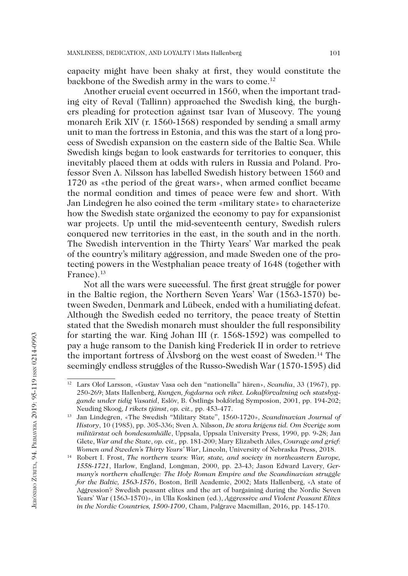capacity might have been shaky at first, they would constitute the backbone of the Swedish army in the wars to come.12

Another crucial event occurred in 1560, when the important trading city of Reval (Tallinn) approached the Swedish king, the burghers pleading for protection against tsar Ivan of Muscovy. The young monarch Erik XIV (r. 1560-1568) responded by sending a small army unit to man the fortress in Estonia, and this was the start of a long process of Swedish expansion on the eastern side of the Baltic Sea. While Swedish kings began to look eastwards for territories to conquer, this inevitably placed them at odds with rulers in Russia and Poland. Professor Sven A. Nilsson has labelled Swedish history between 1560 and 1720 as «the period of the great wars», when armed conflict became the normal condition and times of peace were few and short. With Jan Lindegren he also coined the term «military state» to characterize how the Swedish state organized the economy to pay for expansionist war projects. Up until the mid-seventeenth century, Swedish rulers conquered new territories in the east, in the south and in the north. The Swedish intervention in the Thirty Years' War marked the peak of the country's military aggression, and made Sweden one of the protecting powers in the Westphalian peace treaty of 1648 (together with France).<sup>13</sup>

Not all the wars were successful. The first great struggle for power in the Baltic region, the Northern Seven Years' War (1563-1570) between Sweden, Denmark and Lübeck, ended with a humiliating defeat. Although the Swedish ceded no territory, the peace treaty of Stettin stated that the Swedish monarch must shoulder the full responsibility for starting the war. King Johan III (r. 1568-1592) was compelled to pay a huge ransom to the Danish king Frederick II in order to retrieve the important fortress of Älvsborg on the west coast of Sweden.14 The seemingly endless struggles of the Russo-Swedish War (1570-1595) did

<sup>12</sup> Lars Olof Larsson, «Gustav Vasa och den "nationella" hären», *Scandia*, 33 (1967), pp. 250-269; Mats Hallenberg, *Kungen, fogdarna och riket. Lokalförvaltning och statsbyggande under tidig Vasatid*, Eslöv, B. Östlings bokförlag Symposion, 2001, pp. 194-202; Neuding Skoog, *I rikets tjänst*, *op. cit.,* pp. 453-477.

<sup>13</sup> Jan Lindegren, «The Swedish "Military State", 1560-1720», *Scandinavian Journal of History*, 10 (1985), pp. 305-336; Sven A. Nilsson, *De stora krigens tid. Om Sverige som militärstat och bondesamhälle*, Uppsala, Uppsala University Press, 1990, pp. 9-28; Jan Glete, *War and the State*, *op. cit.,* pp. 181-200; Mary Elizabeth Ailes, *Courage and grief: Women and Sweden's Thirty Years' War*, Lincoln, University of Nebraska Press, 2018.

<sup>14</sup> Robert I. Frost, *The northern wars: War, state, and society in northeastern Europe, 1558-1721*, Harlow, England, Longman, 2000, pp. 23-43; Jason Edward Lavery, *Germany's northern challenge: The Holy Roman Empire and the Scandinavian struggle for the Baltic, 1563-1576*, Boston, Brill Academic, 2002; Mats Hallenberg, «A state of Aggression? Swedish peasant elites and the art of bargaining during the Nordic Seven Years' War (1563-1570)», in Ulla Koskinen (ed.), *Aggressive and Violent Peasant Elites in the Nordic Countries, 1500-1700*, Cham, Palgrave Macmillan, 2016, pp. 145-170.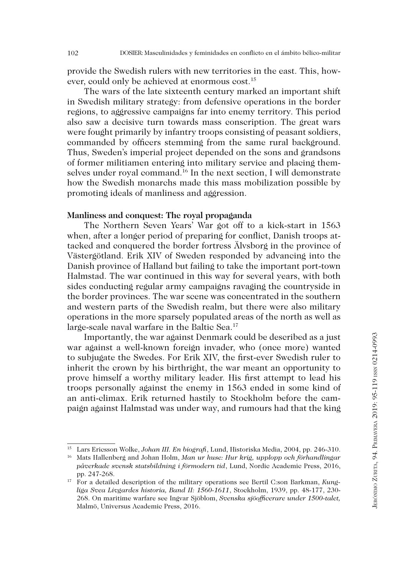provide the Swedish rulers with new territories in the east. This, however, could only be achieved at enormous cost.15

The wars of the late sixteenth century marked an important shift in Swedish military strategy: from defensive operations in the border regions, to aggressive campaigns far into enemy territory. This period also saw a decisive turn towards mass conscription. The great wars were fought primarily by infantry troops consisting of peasant soldiers, commanded by officers stemming from the same rural background. Thus, Sweden's imperial project depended on the sons and grandsons of former militiamen entering into military service and placing themselves under royal command.<sup>16</sup> In the next section, I will demonstrate how the Swedish monarchs made this mass mobilization possible by promoting ideals of manliness and aggression.

### **Manliness and conquest: The royal propaganda**

The Northern Seven Years' War got off to a kick-start in 1563 when, after a longer period of preparing for conflict, Danish troops attacked and conquered the border fortress Älvsborg in the province of Västergötland. Erik XIV of Sweden responded by advancing into the Danish province of Halland but failing to take the important port-town Halmstad. The war continued in this way for several years, with both sides conducting regular army campaigns ravaging the countryside in the border provinces. The war scene was concentrated in the southern and western parts of the Swedish realm, but there were also military operations in the more sparsely populated areas of the north as well as large-scale naval warfare in the Baltic Sea.<sup>17</sup>

Importantly, the war against Denmark could be described as a just war against a well-known foreign invader, who (once more) wanted to subjugate the Swedes. For Erik XIV, the first-ever Swedish ruler to inherit the crown by his birthright, the war meant an opportunity to prove himself a worthy military leader. His first attempt to lead his troops personally against the enemy in 1563 ended in some kind of an anti-climax. Erik returned hastily to Stockholm before the campaign against Halmstad was under way, and rumours had that the king

<sup>15</sup> Lars Ericsson Wolke, *Johan III. En biografi*, Lund, Historiska Media, 2004, pp. 246-310.

<sup>16</sup> Mats Hallenberg and Johan Holm, *Man ur huse: Hur krig, upplopp och förhandlingar påverkade svensk statsbildning i förmodern tid*, Lund, Nordic Academic Press, 2016, pp. 247-268.

<sup>17</sup> For a detailed description of the military operations see Bertil C:son Barkman, *Kungliga Svea Livgardes historia, Band II: 1560-1611*, Stockholm, 1939, pp. 48-177, 230- 268. On maritime warfare see Ingvar Sjöblom, *Svenska sjöofficerare under 1500-talet,* Malmö, Universus Academic Press, 2016.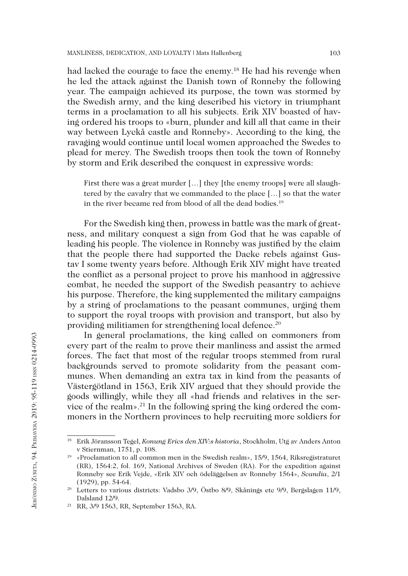had lacked the courage to face the enemy.18 He had his revenge when he led the attack against the Danish town of Ronneby the following year. The campaign achieved its purpose, the town was stormed by the Swedish army, and the king described his victory in triumphant terms in a proclamation to all his subjects. Erik XIV boasted of having ordered his troops to «burn, plunder and kill all that came in their way between Lyckå castle and Ronneby». According to the king, the ravaging would continue until local women approached the Swedes to plead for mercy. The Swedish troops then took the town of Ronneby by storm and Erik described the conquest in expressive words:

First there was a great murder [...] they [the enemy troops] were all slaughtered by the cavalry that we commanded to the place […] so that the water in the river became red from blood of all the dead bodies.<sup>19</sup>

For the Swedish king then, prowess in battle was the mark of greatness, and military conquest a sign from God that he was capable of leading his people. The violence in Ronneby was justified by the claim that the people there had supported the Dacke rebels against Gustav I some twenty years before. Although Erik XIV might have treated the conflict as a personal project to prove his manhood in aggressive combat, he needed the support of the Swedish peasantry to achieve his purpose. Therefore, the king supplemented the military campaigns by a string of proclamations to the peasant communes, urging them to support the royal troops with provision and transport, but also by providing militiamen for strengthening local defence.20

In general proclamations, the king called on commoners from every part of the realm to prove their manliness and assist the armed forces. The fact that most of the regular troops stemmed from rural backgrounds served to promote solidarity from the peasant communes. When demanding an extra tax in kind from the peasants of Västergötland in 1563, Erik XIV argued that they should provide the goods willingly, while they all «had friends and relatives in the service of the realm».21 In the following spring the king ordered the commoners in the Northern provinces to help recruiting more soldiers for

<sup>18</sup> Erik Jöransson Tegel, *Konung Erics den XIV:s historia*, Stockholm, Utg av Anders Anton v Stiernman, 1751, p. 108.

<sup>19</sup> «Proclamation to all common men in the Swedish realm», 15/9, 1564, Riksregistraturet (RR), 1564:2, fol. 169, National Archives of Sweden (RA). For the expedition against Ronneby see Erik Vejde, «Erik XIV och ödeläggelsen av Ronneby 1564», *Scandia*, 2/1 (1929), pp. 54-64.

<sup>&</sup>lt;sup>20</sup> Letters to various districts: Vadsbo 3/9, Östbo 8/9, Skånings etc 9/9, Bergslagen 11/9, Dalsland 12/9.

<sup>21</sup> RR, 3/9 1563, RR, September 1563, RA.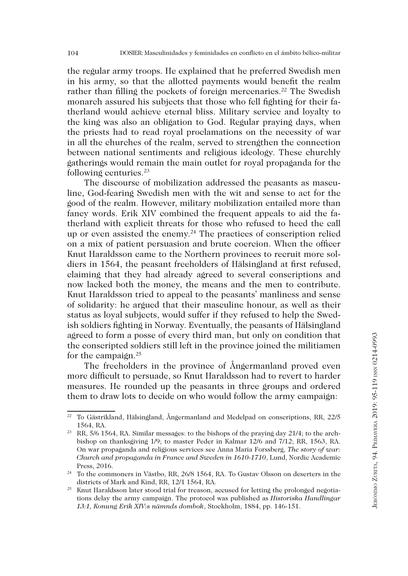the regular army troops. He explained that he preferred Swedish men in his army, so that the allotted payments would benefit the realm rather than filling the pockets of foreign mercenaries.<sup>22</sup> The Swedish monarch assured his subjects that those who fell fighting for their fatherland would achieve eternal bliss. Military service and loyalty to the king was also an obligation to God. Regular praying days, when the priests had to read royal proclamations on the necessity of war in all the churches of the realm, served to strengthen the connection between national sentiments and religious ideology. These churchly gatherings would remain the main outlet for royal propaganda for the following centuries.23

The discourse of mobilization addressed the peasants as masculine, God-fearing Swedish men with the wit and sense to act for the good of the realm. However, military mobilization entailed more than fancy words. Erik XIV combined the frequent appeals to aid the fatherland with explicit threats for those who refused to heed the call up or even assisted the enemy.<sup>24</sup> The practices of conscription relied on a mix of patient persuasion and brute coercion. When the officer Knut Haraldsson came to the Northern provinces to recruit more soldiers in 1564, the peasant freeholders of Hälsingland at first refused, claiming that they had already agreed to several conscriptions and now lacked both the money, the means and the men to contribute. Knut Haraldsson tried to appeal to the peasants' manliness and sense of solidarity: he argued that their masculine honour, as well as their status as loyal subjects, would suffer if they refused to help the Swedish soldiers fighting in Norway. Eventually, the peasants of Hälsingland agreed to form a posse of every third man, but only on condition that the conscripted soldiers still left in the province joined the militiamen for the campaign.25

The freeholders in the province of Ångermanland proved even more difficult to persuade, so Knut Haraldsson had to revert to harder measures. He rounded up the peasants in three groups and ordered them to draw lots to decide on who would follow the army campaign:

 $22$  To Gästrikland, Hälsingland, Ångermanland and Medelpad on conscriptions, RR, 22/5 1564, RA.

<sup>23</sup> RR, 5/6 1564, RA. Similar messages: to the bishops of the praying day 21/4; to the archbishop on thanksgiving 1/9; to master Peder in Kalmar 12/6 and 7/12; RR, 1563, RA. On war propaganda and religious services see Anna Maria Forssberg, *The story of war: Church and propaganda in France and Sweden in 1610-1710*, Lund, Nordic Academic Press, 2016.

<sup>&</sup>lt;sup>24</sup> To the commoners in Västbo, RR, 26/8 1564, RA. To Gustav Olsson on deserters in the districts of Mark and Kind, RR, 12/1 1564, RA.

<sup>&</sup>lt;sup>25</sup> Knut Haraldsson later stood trial for treason, accused for letting the prolonged negotiations delay the army campaign. The protocol was published as *Historiska Handlingar 13:1, Konung Erik XIV:s nämnds dombok*, Stockholm, 1884, pp. 146-151.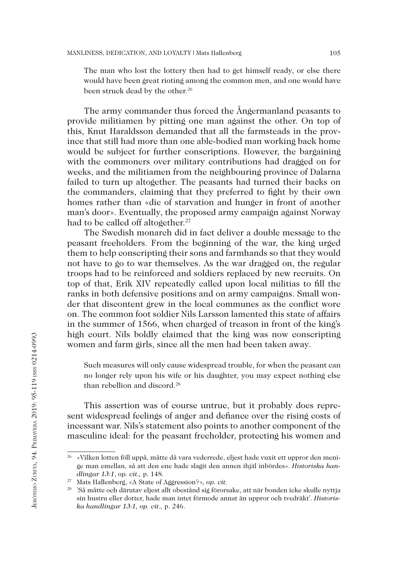The man who lost the lottery then had to get himself ready, or else there would have been great rioting among the common men, and one would have been struck dead by the other.<sup>26</sup>

The army commander thus forced the Ångermanland peasants to provide militiamen by pitting one man against the other. On top of this, Knut Haraldsson demanded that all the farmsteads in the province that still had more than one able-bodied man working back home would be subject for further conscriptions. However, the bargaining with the commoners over military contributions had dragged on for weeks, and the militiamen from the neighbouring province of Dalarna failed to turn up altogether. The peasants had turned their backs on the commanders, claiming that they preferred to fight by their own homes rather than «die of starvation and hunger in front of another man's door». Eventually, the proposed army campaign against Norway had to be called off altogether.<sup>27</sup>

The Swedish monarch did in fact deliver a double message to the peasant freeholders. From the beginning of the war, the king urged them to help conscripting their sons and farmhands so that they would not have to go to war themselves. As the war dragged on, the regular troops had to be reinforced and soldiers replaced by new recruits. On top of that, Erik XIV repeatedly called upon local militias to fill the ranks in both defensive positions and on army campaigns. Small wonder that discontent grew in the local communes as the conflict wore on. The common foot soldier Nils Larsson lamented this state of affairs in the summer of 1566, when charged of treason in front of the king's high court. Nils boldly claimed that the king was now conscripting women and farm girls, since all the men had been taken away.

Such measures will only cause widespread trouble, for when the peasant can no longer rely upon his wife or his daughter, you may expect nothing else than rebellion and discord.<sup>28</sup>

This assertion was of course untrue, but it probably does represent widespread feelings of anger and defiance over the rising costs of incessant war. Nils's statement also points to another component of the masculine ideal: for the peasant freeholder, protecting his women and

<sup>26</sup> «Vilken lotten föll uppå, måtte då vara vederrede, eljest hade vuxit ett uppror den menige man emellan, så att den ene hade slagit den annen ihjäl inbördes». *Historiska handlingar 13:1*, *op. cit.,* p. 148.

<sup>27</sup> Mats Hallenberg, «A State of Aggression?»*, op. cit.*

<sup>28</sup> 'Så måtte och därutav eljest allt obestånd sig förorsake, att när bonden icke skulle nyttja sin hustru eller dotter, hade man intet förmode annat än uppror och tvedräkt'. *Historiska handlingar 13:1, op. cit.,* p. 246.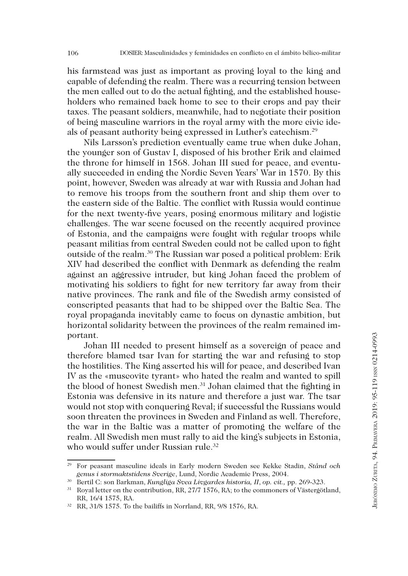his farmstead was just as important as proving loyal to the king and capable of defending the realm. There was a recurring tension between the men called out to do the actual fighting, and the established householders who remained back home to see to their crops and pay their taxes. The peasant soldiers, meanwhile, had to negotiate their position of being masculine warriors in the royal army with the more civic ideals of peasant authority being expressed in Luther's catechism.29

Nils Larsson's prediction eventually came true when duke Johan, the younger son of Gustav I, disposed of his brother Erik and claimed the throne for himself in 1568. Johan III sued for peace, and eventually succeeded in ending the Nordic Seven Years' War in 1570. By this point, however, Sweden was already at war with Russia and Johan had to remove his troops from the southern front and ship them over to the eastern side of the Baltic. The conflict with Russia would continue for the next twenty-five years, posing enormous military and logistic challenges. The war scene focused on the recently acquired province of Estonia, and the campaigns were fought with regular troops while peasant militias from central Sweden could not be called upon to fight outside of the realm.30 The Russian war posed a political problem: Erik XIV had described the conflict with Denmark as defending the realm against an aggressive intruder, but king Johan faced the problem of motivating his soldiers to fight for new territory far away from their native provinces. The rank and file of the Swedish army consisted of conscripted peasants that had to be shipped over the Baltic Sea. The royal propaganda inevitably came to focus on dynastic ambition, but horizontal solidarity between the provinces of the realm remained important.

Johan III needed to present himself as a sovereign of peace and therefore blamed tsar Ivan for starting the war and refusing to stop the hostilities. The King asserted his will for peace, and described Ivan IV as the «muscovite tyrant» who hated the realm and wanted to spill the blood of honest Swedish men.31 Johan claimed that the fighting in Estonia was defensive in its nature and therefore a just war. The tsar would not stop with conquering Reval; if successful the Russians would soon threaten the provinces in Sweden and Finland as well. Therefore, the war in the Baltic was a matter of promoting the welfare of the realm. All Swedish men must rally to aid the king's subjects in Estonia, who would suffer under Russian rule.<sup>32</sup>

<sup>29</sup> For peasant masculine ideals in Early modern Sweden see Kekke Stadin, *Stånd och genus i stormaktstidens Sverige*, Lund, Nordic Academic Press, 2004.

<sup>30</sup> Bertil C: son Barkman, *Kungliga Svea Livgardes historia, II*, *op. cit.,* pp. 269-323.

 $31$  Royal letter on the contribution, RR, 27/7 1576, RA; to the commoners of Västergötland, RR, 16/4 1575, RA.

<sup>32</sup> RR, 31/8 1575. To the bailiffs in Norrland, RR, 9/8 1576, RA.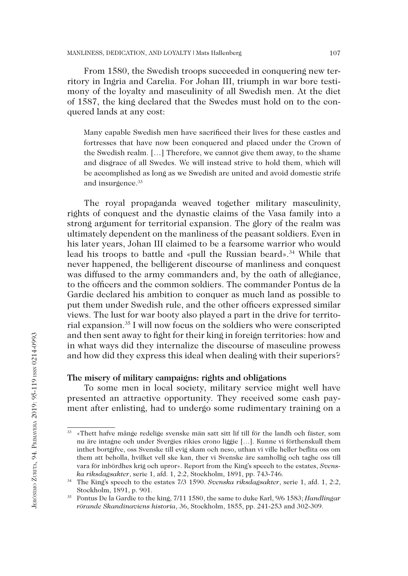From 1580, the Swedish troops succeeded in conquering new territory in Ingria and Carelia. For Johan III, triumph in war bore testimony of the loyalty and masculinity of all Swedish men. At the diet of 1587, the king declared that the Swedes must hold on to the conquered lands at any cost:

Many capable Swedish men have sacrificed their lives for these castles and fortresses that have now been conquered and placed under the Crown of the Swedish realm. […] Therefore, we cannot give them away, to the shame and disgrace of all Swedes. We will instead strive to hold them, which will be accomplished as long as we Swedish are united and avoid domestic strife and insurgence.<sup>33</sup>

The royal propaganda weaved together military masculinity, rights of conquest and the dynastic claims of the Vasa family into a strong argument for territorial expansion. The glory of the realm was ultimately dependent on the manliness of the peasant soldiers. Even in his later years, Johan III claimed to be a fearsome warrior who would lead his troops to battle and «pull the Russian beard».<sup>34</sup> While that never happened, the belligerent discourse of manliness and conquest was diffused to the army commanders and, by the oath of allegiance, to the officers and the common soldiers. The commander Pontus de la Gardie declared his ambition to conquer as much land as possible to put them under Swedish rule, and the other officers expressed similar views. The lust for war booty also played a part in the drive for territorial expansion.35 I will now focus on the soldiers who were conscripted and then sent away to fight for their king in foreign territories: how and in what ways did they internalize the discourse of masculine prowess and how did they express this ideal when dealing with their superiors?

## **The misery of military campaigns: rights and obligations**

To some men in local society, military service might well have presented an attractive opportunity. They received some cash payment after enlisting, had to undergo some rudimentary training on a

<sup>33</sup> «Thett hafve månge redelige svenske män satt sitt lif till för the landh och fäster, som nu äre intagne och under Svergies rikies crono liggie […]. Kunne vi förthenskull them inthet bortgifve, oss Svenske till evig skam och neso, uthan vi ville heller beflita oss om them att beholla, hvilket vell ske kan, ther vi Svenske äre samhollig och taghe oss till vara för inbördhes krig och upror». Report from the King's speech to the estates, *Svenska riksdagsakter*, serie 1, afd. 1, 2:2, Stockholm, 1891, pp. 743-746.

<sup>34</sup> The King's speech to the estates 7/3 1590. *Svenska riksdagsakter*, serie 1, afd. 1, 2:2, Stockholm, 1891, p. 901.

<sup>35</sup> Pontus De la Gardie to the king, 7/11 1580, the same to duke Karl, 9/6 1583; *Handlingar rörande Skandinaviens historia*, 36, Stockholm, 1855, pp. 241-253 and 302-309.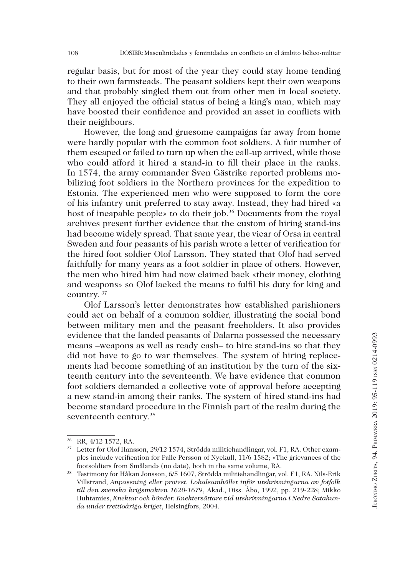regular basis, but for most of the year they could stay home tending to their own farmsteads. The peasant soldiers kept their own weapons and that probably singled them out from other men in local society. They all enjoyed the official status of being a king's man, which may have boosted their confidence and provided an asset in conflicts with their neighbours.

However, the long and gruesome campaigns far away from home were hardly popular with the common foot soldiers. A fair number of them escaped or failed to turn up when the call-up arrived, while those who could afford it hired a stand-in to fill their place in the ranks. In 1574, the army commander Sven Gästrike reported problems mobilizing foot soldiers in the Northern provinces for the expedition to Estonia. The experienced men who were supposed to form the core of his infantry unit preferred to stay away. Instead, they had hired «a host of incapable people» to do their job.<sup>36</sup> Documents from the royal archives present further evidence that the custom of hiring stand-ins had become widely spread. That same year, the vicar of Orsa in central Sweden and four peasants of his parish wrote a letter of verification for the hired foot soldier Olof Larsson. They stated that Olof had served faithfully for many years as a foot soldier in place of others. However, the men who hired him had now claimed back «their money, clothing and weapons» so Olof lacked the means to fulfil his duty for king and country. 37

Olof Larsson's letter demonstrates how established parishioners could act on behalf of a common soldier, illustrating the social bond between military men and the peasant freeholders. It also provides evidence that the landed peasants of Dalarna possessed the necessary means –weapons as well as ready cash– to hire stand-ins so that they did not have to go to war themselves. The system of hiring replacements had become something of an institution by the turn of the sixteenth century into the seventeenth. We have evidence that common foot soldiers demanded a collective vote of approval before accepting a new stand-in among their ranks. The system of hired stand-ins had become standard procedure in the Finnish part of the realm during the seventeenth century.<sup>38</sup>

<sup>36</sup> RR, 4/12 1572, RA.

<sup>37</sup> Letter for Olof Hansson, 29/12 1574, Strödda militiehandlingar, vol. F1, RA. Other examples include verification for Palle Persson of Nyekull, 11/6 1582; «The grievances of the footsoldiers from Småland» (no date), both in the same volume, RA. 38 Testimony for Håkan Jonsson, 6/5 1607, Strödda militiehandlingar, vol. F1, RA. Nils-Erik

Villstrand, *Anpassning eller protest. Lokalsamhället inför utskrivningarna av fotfolk till den svenska krigsmakten 1620-1679*, Akad., Diss. Åbo, 1992, pp. 219-228; Mikko Huhtamies, *Knektar och bönder. Knektersättare vid utskrivningarna i Nedre Satakunda under trettioåriga kriget*, Helsingfors, 2004.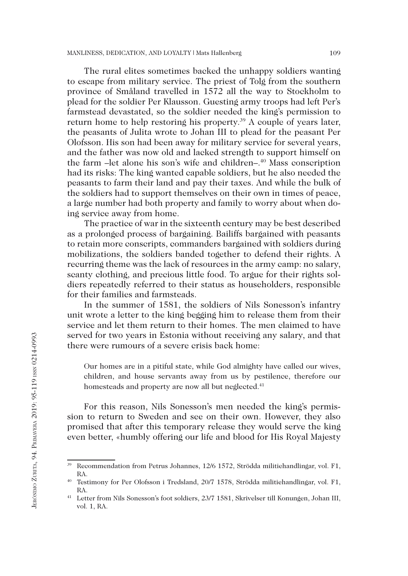The rural elites sometimes backed the unhappy soldiers wanting to escape from military service. The priest of Tolg from the southern province of Småland travelled in 1572 all the way to Stockholm to plead for the soldier Per Klausson. Guesting army troops had left Per's farmstead devastated, so the soldier needed the king's permission to return home to help restoring his property.39 A couple of years later, the peasants of Julita wrote to Johan III to plead for the peasant Per Olofsson. His son had been away for military service for several years, and the father was now old and lacked strength to support himself on the farm –let alone his son's wife and children–.<sup>40</sup> Mass conscription had its risks: The king wanted capable soldiers, but he also needed the peasants to farm their land and pay their taxes. And while the bulk of the soldiers had to support themselves on their own in times of peace, a large number had both property and family to worry about when doing service away from home.

The practice of war in the sixteenth century may be best described as a prolonged process of bargaining. Bailiffs bargained with peasants to retain more conscripts, commanders bargained with soldiers during mobilizations, the soldiers banded together to defend their rights. A recurring theme was the lack of resources in the army camp: no salary, scanty clothing, and precious little food. To argue for their rights soldiers repeatedly referred to their status as householders, responsible for their families and farmsteads.

In the summer of 1581, the soldiers of Nils Sonesson's infantry unit wrote a letter to the king begging him to release them from their service and let them return to their homes. The men claimed to have served for two years in Estonia without receiving any salary, and that there were rumours of a severe crisis back home:

Our homes are in a pitiful state, while God almighty have called our wives, children, and house servants away from us by pestilence, therefore our homesteads and property are now all but neglected.<sup>41</sup>

For this reason, Nils Sonesson's men needed the king's permission to return to Sweden and see on their own. However, they also promised that after this temporary release they would serve the king even better, «humbly offering our life and blood for His Royal Majesty

<sup>39</sup> Recommendation from Petrus Johannes, 12/6 1572, Strödda militiehandlingar, vol. F1, RA.

<sup>40</sup> Testimony for Per Olofsson i Tredsland, 20/7 1578, Strödda militiehandlingar, vol. F1, RA.

<sup>41</sup> Letter from Nils Sonesson's foot soldiers, 23/7 1581, Skrivelser till Konungen, Johan III, vol. 1, RA.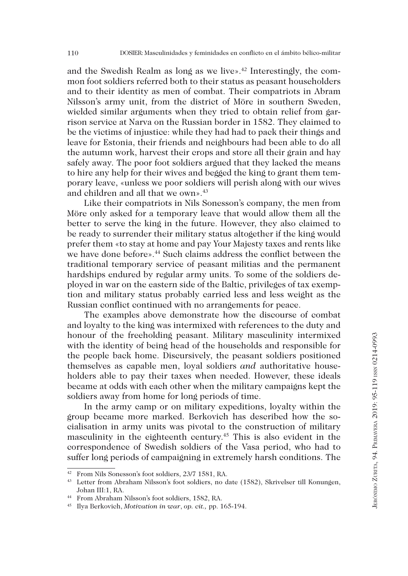and the Swedish Realm as long as we live».<sup>42</sup> Interestingly, the common foot soldiers referred both to their status as peasant householders and to their identity as men of combat. Their compatriots in Abram Nilsson's army unit, from the district of Möre in southern Sweden, wielded similar arguments when they tried to obtain relief from garrison service at Narva on the Russian border in 1582. They claimed to be the victims of injustice: while they had had to pack their things and leave for Estonia, their friends and neighbours had been able to do all the autumn work, harvest their crops and store all their grain and hay safely away. The poor foot soldiers argued that they lacked the means to hire any help for their wives and begged the king to grant them temporary leave, «unless we poor soldiers will perish along with our wives and children and all that we own».<sup>43</sup>

Like their compatriots in Nils Sonesson's company, the men from Möre only asked for a temporary leave that would allow them all the better to serve the king in the future. However, they also claimed to be ready to surrender their military status altogether if the king would prefer them «to stay at home and pay Your Majesty taxes and rents like we have done before».<sup>44</sup> Such claims address the conflict between the traditional temporary service of peasant militias and the permanent hardships endured by regular army units. To some of the soldiers deployed in war on the eastern side of the Baltic, privileges of tax exemption and military status probably carried less and less weight as the Russian conflict continued with no arrangements for peace.

The examples above demonstrate how the discourse of combat and loyalty to the king was intermixed with references to the duty and honour of the freeholding peasant. Military masculinity intermixed with the identity of being head of the households and responsible for the people back home. Discursively, the peasant soldiers positioned themselves as capable men, loyal soldiers *and* authoritative householders able to pay their taxes when needed. However, these ideals became at odds with each other when the military campaigns kept the soldiers away from home for long periods of time.

In the army camp or on military expeditions, loyalty within the group became more marked. Berkovich has described how the socialisation in army units was pivotal to the construction of military masculinity in the eighteenth century.45 This is also evident in the correspondence of Swedish soldiers of the Vasa period, who had to suffer long periods of campaigning in extremely harsh conditions. The

<sup>42</sup> From Nils Sonesson's foot soldiers, 23/7 1581, RA.

<sup>43</sup> Letter from Abraham Nilsson's foot soldiers, no date (1582), Skrivelser till Konungen, Johan III:1, RA.

<sup>44</sup> From Abraham Nilsson's foot soldiers, 1582, RA.

<sup>45</sup> Ilya Berkovich, *Motivation in war*, *op. cit.,* pp. 165-194.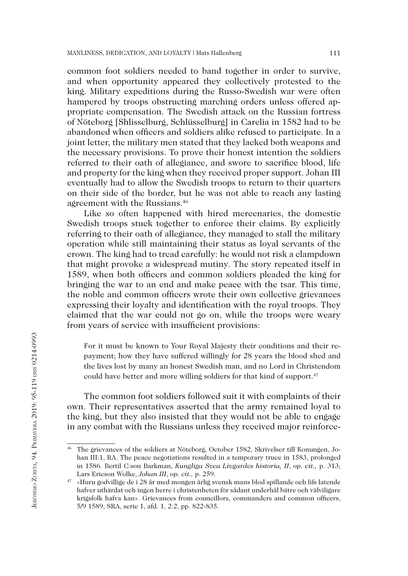common foot soldiers needed to band together in order to survive, and when opportunity appeared they collectively protested to the king. Military expeditions during the Russo-Swedish war were often hampered by troops obstructing marching orders unless offered appropriate compensation. The Swedish attack on the Russian fortress of Nöteborg [Shlisselburg, Schlüsselburg] in Carelia in 1582 had to be abandoned when officers and soldiers alike refused to participate. In a joint letter, the military men stated that they lacked both weapons and the necessary provisions. To prove their honest intention the soldiers referred to their oath of allegiance, and swore to sacrifice blood, life and property for the king when they received proper support. Johan III eventually had to allow the Swedish troops to return to their quarters on their side of the border, but he was not able to reach any lasting agreement with the Russians.46

Like so often happened with hired mercenaries, the domestic Swedish troops stuck together to enforce their claims. By explicitly referring to their oath of allegiance, they managed to stall the military operation while still maintaining their status as loyal servants of the crown. The king had to tread carefully: he would not risk a clampdown that might provoke a widespread mutiny. The story repeated itself in 1589, when both officers and common soldiers pleaded the king for bringing the war to an end and make peace with the tsar. This time, the noble and common officers wrote their own collective grievances expressing their loyalty and identification with the royal troops. They claimed that the war could not go on, while the troops were weary from years of service with insufficient provisions:

For it must be known to Your Royal Majesty their conditions and their repayment; how they have suffered willingly for 28 years the blood shed and the lives lost by many an honest Swedish man, and no Lord in Christendom could have better and more willing soldiers for that kind of support.<sup>47</sup>

The common foot soldiers followed suit it with complaints of their own. Their representatives asserted that the army remained loyal to the king, but they also insisted that they would not be able to engage in any combat with the Russians unless they received major reinforce-

<sup>46</sup> The grievances of the soldiers at Nöteborg, October 1582, Skrivelser till Konungen, Johan III:1, RA. The peace negotiations resulted in a temporary truce in 1583, prolonged in 1586. Bertil C:son Barkman, *Kungliga Svea Livgardes historia, II*, *op. cit.,* p. 313; Lars Ericson Wolke, *Johan III*, *op. cit.,* p. 259.

<sup>47</sup> «Huru godvillige de i 28 år med mongen ärlig svensk mans blod spillande och lifs latende hafver uthärdat och ingen herre i christenheten för sådant underhål bätre och välviligare krigsfolk hafva kan». Grievances from councillors, commanders and common officers, 5/9 1589, SRA, serie 1, afd. 1, 2:2, pp. 822-835.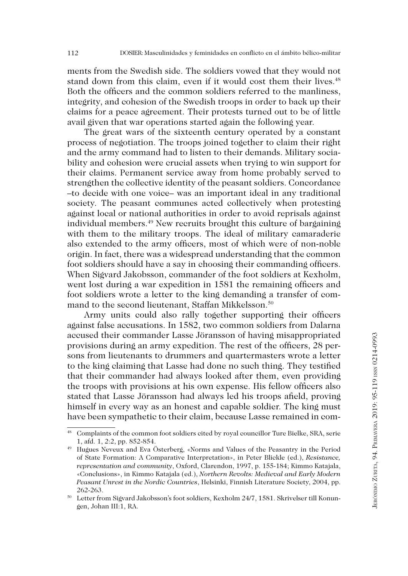ments from the Swedish side. The soldiers vowed that they would not stand down from this claim, even if it would cost them their lives.<sup>48</sup> Both the officers and the common soldiers referred to the manliness, integrity, and cohesion of the Swedish troops in order to back up their claims for a peace agreement. Their protests turned out to be of little avail given that war operations started again the following year.

The great wars of the sixteenth century operated by a constant process of negotiation. The troops joined together to claim their right and the army command had to listen to their demands. Military sociability and cohesion were crucial assets when trying to win support for their claims. Permanent service away from home probably served to strengthen the collective identity of the peasant soldiers. Concordance –to decide with one voice– was an important ideal in any traditional society. The peasant communes acted collectively when protesting against local or national authorities in order to avoid reprisals against individual members.49 New recruits brought this culture of bargaining with them to the military troops. The ideal of military camaraderie also extended to the army officers, most of which were of non-noble origin. In fact, there was a widespread understanding that the common foot soldiers should have a say in choosing their commanding officers. When Sigvard Jakobsson, commander of the foot soldiers at Kexholm, went lost during a war expedition in 1581 the remaining officers and foot soldiers wrote a letter to the king demanding a transfer of command to the second lieutenant, Staffan Mikkelsson.50

Army units could also rally together supporting their officers against false accusations. In 1582, two common soldiers from Dalarna accused their commander Lasse Jöransson of having misappropriated provisions during an army expedition. The rest of the officers, 28 persons from lieutenants to drummers and quartermasters wrote a letter to the king claiming that Lasse had done no such thing. They testified that their commander had always looked after them, even providing the troops with provisions at his own expense. His fellow officers also stated that Lasse Jöransson had always led his troops afield, proving himself in every way as an honest and capable soldier. The king must have been sympathetic to their claim, because Lasse remained in com-

<sup>48</sup> Complaints of the common foot soldiers cited by royal councillor Ture Bielke, SRA, serie 1, afd. 1, 2:2, pp. 852-854.

<sup>49</sup> Hugues Neveux and Eva Österberg, «Norms and Values of the Peasantry in the Period of State Formation: A Comparative Interpretation», in Peter Blickle (ed.), *Resistance, representation and community*, Oxford, Clarendon, 1997, p. 155-184; Kimmo Katajala, «Conclusions», in Kimmo Katajala (ed.), *Northern Revolts: Medieval and Early Modern Peasant Unrest in the Nordic Countries*, Helsinki, Finnish Literature Society, 2004, pp. 262-263. 50 Letter from Sigvard Jakobsson's foot soldiers, Kexholm 24/7, 1581. Skrivelser till Konun-

gen, Johan III:1, RA.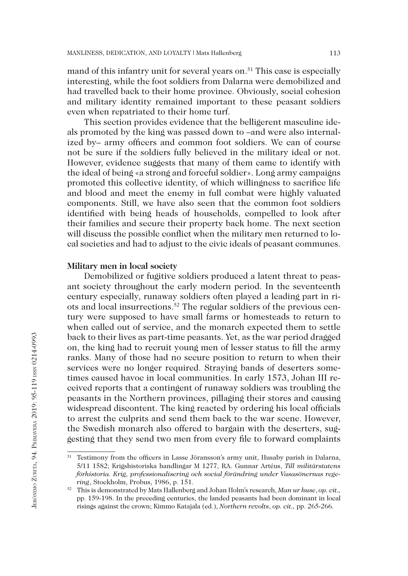mand of this infantry unit for several years on.<sup>51</sup> This case is especially interesting, while the foot soldiers from Dalarna were demobilized and had travelled back to their home province. Obviously, social cohesion and military identity remained important to these peasant soldiers even when repatriated to their home turf.

This section provides evidence that the belligerent masculine ideals promoted by the king was passed down to –and were also internalized by– army officers and common foot soldiers. We can of course not be sure if the soldiers fully believed in the military ideal or not. However, evidence suggests that many of them came to identify with the ideal of being «a strong and forceful soldier». Long army campaigns promoted this collective identity, of which willingness to sacrifice life and blood and meet the enemy in full combat were highly valuated components. Still, we have also seen that the common foot soldiers identified with being heads of households, compelled to look after their families and secure their property back home. The next section will discuss the possible conflict when the military men returned to local societies and had to adjust to the civic ideals of peasant communes.

## **Military men in local society**

Demobilized or fugitive soldiers produced a latent threat to peasant society throughout the early modern period. In the seventeenth century especially, runaway soldiers often played a leading part in riots and local insurrections.52 The regular soldiers of the previous century were supposed to have small farms or homesteads to return to when called out of service, and the monarch expected them to settle back to their lives as part-time peasants. Yet, as the war period dragged on, the king had to recruit young men of lesser status to fill the army ranks. Many of those had no secure position to return to when their services were no longer required. Straying bands of deserters sometimes caused havoc in local communities. In early 1573, Johan III received reports that a contingent of runaway soldiers was troubling the peasants in the Northern provinces, pillaging their stores and causing widespread discontent. The king reacted by ordering his local officials to arrest the culprits and send them back to the war scene. However, the Swedish monarch also offered to bargain with the deserters, suggesting that they send two men from every file to forward complaints

<sup>&</sup>lt;sup>51</sup> Testimony from the officers in Lasse Jöransson's army unit, Husaby parish in Dalarna, 5/11 1582; Krigshistoriska handlingar M 1277, RA. Gunnar Artéus, *Till militärstatens förhistoria. Krig, professionalisering och social förändring under Vasasönernas regering*, Stockholm, Probus, 1986, p. 151.

<sup>52</sup> This is demonstrated by Mats Hallenberg and Johan Holm's research, *Man ur huse*, *op. cit.,*  pp. 159-198. In the preceding centuries, the landed peasants had been dominant in local risings against the crown; Kimmo Katajala (ed.), *Northern revolts*, *op. cit.,* pp. 265-266.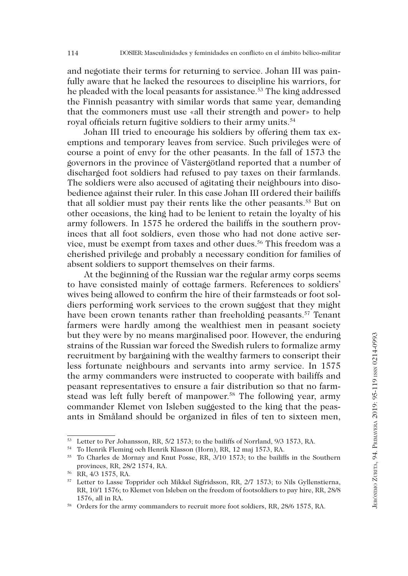and negotiate their terms for returning to service. Johan III was painfully aware that he lacked the resources to discipline his warriors, for he pleaded with the local peasants for assistance.53 The king addressed the Finnish peasantry with similar words that same year, demanding that the commoners must use «all their strength and power» to help royal officials return fugitive soldiers to their army units.54

Johan III tried to encourage his soldiers by offering them tax exemptions and temporary leaves from service. Such privileges were of course a point of envy for the other peasants. In the fall of 1573 the governors in the province of Västergötland reported that a number of discharged foot soldiers had refused to pay taxes on their farmlands. The soldiers were also accused of agitating their neighbours into disobedience against their ruler. In this case Johan III ordered their bailiffs that all soldier must pay their rents like the other peasants.<sup>55</sup> But on other occasions, the king had to be lenient to retain the loyalty of his army followers. In 1575 he ordered the bailiffs in the southern provinces that all foot soldiers, even those who had not done active service, must be exempt from taxes and other dues.<sup>56</sup> This freedom was a cherished privilege and probably a necessary condition for families of absent soldiers to support themselves on their farms.

At the beginning of the Russian war the regular army corps seems to have consisted mainly of cottage farmers. References to soldiers' wives being allowed to confirm the hire of their farmsteads or foot soldiers performing work services to the crown suggest that they might have been crown tenants rather than freeholding peasants.<sup>57</sup> Tenant farmers were hardly among the wealthiest men in peasant society but they were by no means marginalised poor. However, the enduring strains of the Russian war forced the Swedish rulers to formalize army recruitment by bargaining with the wealthy farmers to conscript their less fortunate neighbours and servants into army service. In 1575 the army commanders were instructed to cooperate with bailiffs and peasant representatives to ensure a fair distribution so that no farmstead was left fully bereft of manpower.<sup>58</sup> The following year, army commander Klemet von Isleben suggested to the king that the peasants in Småland should be organized in files of ten to sixteen men,

<sup>53</sup> Letter to Per Johansson, RR, 5/2 1573; to the bailiffs of Norrland, 9/3 1573, RA.

<sup>54</sup> To Henrik Fleming och Henrik Klasson (Horn), RR, 12 maj 1573, RA.

<sup>&</sup>lt;sup>55</sup> To Charles de Mornay and Knut Posse, RR, 3/10 1573; to the bailiffs in the Southern provinces, RR, 28/2 1574, RA.

<sup>56</sup> RR, 4/3 1575, RA.

<sup>57</sup> Letter to Lasse Topprider och Mikkel Sigfridsson, RR, 2/7 1573; to Nils Gyllenstierna, RR, 10/1 1576; to Klemet von Isleben on the freedom of footsoldiers to pay hire, RR, 28/8 1576, all in RA.

<sup>&</sup>lt;sup>58</sup> Orders for the army commanders to recruit more foot soldiers, RR, 28/6 1575, RA.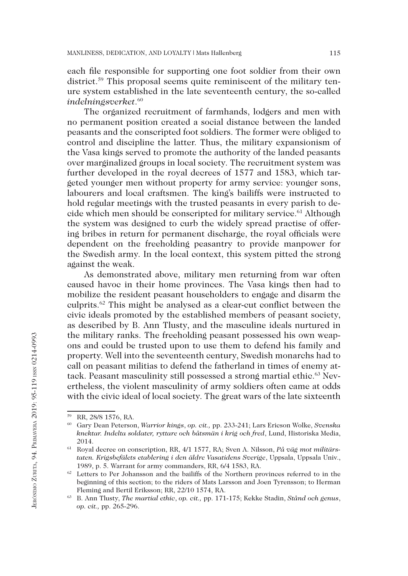each file responsible for supporting one foot soldier from their own district.<sup>59</sup> This proposal seems quite reminiscent of the military tenure system established in the late seventeenth century, the so-called *indelningsverket*. 60

The organized recruitment of farmhands, lodgers and men with no permanent position created a social distance between the landed peasants and the conscripted foot soldiers. The former were obliged to control and discipline the latter. Thus, the military expansionism of the Vasa kings served to promote the authority of the landed peasants over marginalized groups in local society. The recruitment system was further developed in the royal decrees of 1577 and 1583, which targeted younger men without property for army service: younger sons, labourers and local craftsmen. The king's bailiffs were instructed to hold regular meetings with the trusted peasants in every parish to decide which men should be conscripted for military service.<sup>61</sup> Although the system was designed to curb the widely spread practise of offering bribes in return for permanent discharge, the royal officials were dependent on the freeholding peasantry to provide manpower for the Swedish army. In the local context, this system pitted the strong against the weak.

As demonstrated above, military men returning from war often caused havoc in their home provinces. The Vasa kings then had to mobilize the resident peasant householders to engage and disarm the culprits.62 This might be analysed as a clear-cut conflict between the civic ideals promoted by the established members of peasant society, as described by B. Ann Tlusty, and the masculine ideals nurtured in the military ranks. The freeholding peasant possessed his own weapons and could be trusted upon to use them to defend his family and property. Well into the seventeenth century, Swedish monarchs had to call on peasant militias to defend the fatherland in times of enemy attack. Peasant masculinity still possessed a strong martial ethic.<sup>63</sup> Nevertheless, the violent masculinity of army soldiers often came at odds with the civic ideal of local society. The great wars of the late sixteenth

<sup>59</sup> RR, 28/8 1576, RA.

<sup>60</sup> Gary Dean Peterson, *Warrior kings*, *op. cit.,* pp. 233-241; Lars Ericson Wolke, *Svenska knektar. Indelta soldater, ryttare och båtsmän i krig och fred*, Lund, Historiska Media, 2014.

<sup>61</sup> Royal decree on conscription, RR, 4/1 1577, RA; Sven A. Nilsson, *På väg mot militärstaten. Krigsbefälets etablering i den äldre Vasatidens Sverige*, Uppsala, Uppsala Univ., 1989, p. 5. Warrant for army commanders, RR, 6/4 1583, RA.

<sup>&</sup>lt;sup>62</sup> Letters to Per Johansson and the bailiffs of the Northern provinces referred to in the beginning of this section; to the riders of Mats Larsson and Joen Tyrensson; to Herman Fleming and Bertil Eriksson; RR, 22/10 1574, RA.

<sup>63</sup> B. Ann Tlusty, *The martial ethic*, *op. cit.,* pp. 171-175; Kekke Stadin, *Stånd och genus*, *op. cit.,* pp. 265-296.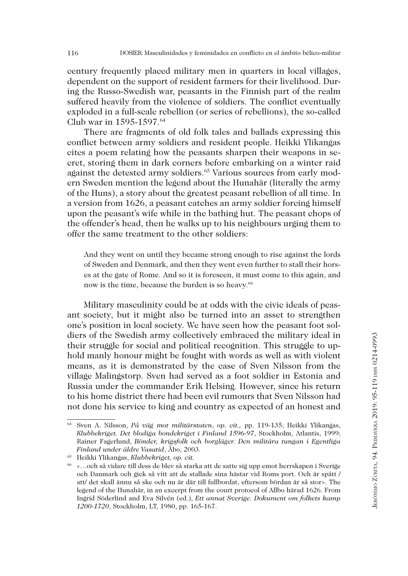century frequently placed military men in quarters in local villages, dependent on the support of resident farmers for their livelihood. During the Russo-Swedish war, peasants in the Finnish part of the realm suffered heavily from the violence of soldiers. The conflict eventually exploded in a full-scale rebellion (or series of rebellions), the so-called Club war in 1595-1597.64

There are fragments of old folk tales and ballads expressing this conflict between army soldiers and resident people. Heikki Ylikangas cites a poem relating how the peasants sharpen their weapons in secret, storing them in dark corners before embarking on a winter raid against the detested army soldiers.<sup>65</sup> Various sources from early modern Sweden mention the legend about the Hunahär (literally the army of the Huns), a story about the greatest peasant rebellion of all time. In a version from 1626, a peasant catches an army soldier forcing himself upon the peasant's wife while in the bathing hut. The peasant chops of the offender's head, then he walks up to his neighbours urging them to offer the same treatment to the other soldiers:

And they went on until they became strong enough to rise against the lords of Sweden and Denmark, and then they went even further to stall their horses at the gate of Rome. And so it is foreseen, it must come to this again, and now is the time, because the burden is so heavy.<sup>66</sup>

Military masculinity could be at odds with the civic ideals of peasant society, but it might also be turned into an asset to strengthen one's position in local society. We have seen how the peasant foot soldiers of the Swedish army collectively embraced the military ideal in their struggle for social and political recognition. This struggle to uphold manly honour might be fought with words as well as with violent means, as it is demonstrated by the case of Sven Nilsson from the village Malingstorp. Sven had served as a foot soldier in Estonia and Russia under the commander Erik Helsing. However, since his return to his home district there had been evil rumours that Sven Nilsson had not done his service to king and country as expected of an honest and

<sup>64</sup> Sven A. Nilsson, *På väg mot militärstaten*, *op. cit.,* pp. 119-135; Heikki Ylikangas, *Klubbekriget. Det blodiga bondekriget i Finland 1596-97*, Stockholm, Atlantis, 1999; Rainer Fagerlund, *Bönder, krigsfolk och borgläger. Den militära tungan i Egentliga Finland under äldre Vasatid*, Åbo, 2003.

<sup>65</sup> Heikki Ylikangas, *Klubbekriget, op. cit.*

<sup>66</sup> «…och så vidare till dess de blev så starka att de satte sig upp emot herrskapen i Sverige och Danmark och gick så vitt att de stallade sina hästar vid Roms port. Och är spått / att/ det skall ännu så ske och nu är där till fullbordat, eftersom bördan är så stor». The legend of the Hunahär, in an excerpt from the court protocol of Allbo härad 1626. From Ingrid Söderlind and Eva Silvén (ed.), *Ett annat Sverige. Dokument om folkets kamp 1200-1720*, Stockholm, LT, 1980, pp. 165-167.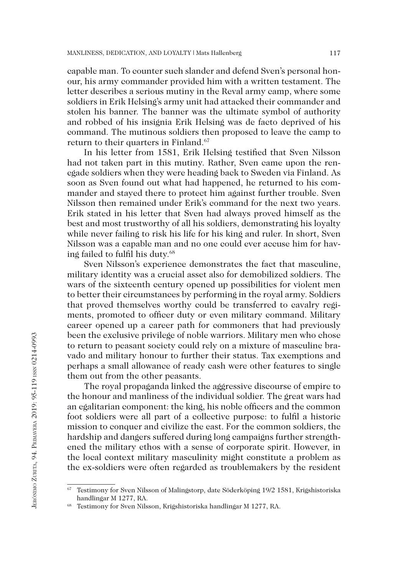capable man. To counter such slander and defend Sven's personal honour, his army commander provided him with a written testament. The letter describes a serious mutiny in the Reval army camp, where some soldiers in Erik Helsing's army unit had attacked their commander and stolen his banner. The banner was the ultimate symbol of authority and robbed of his insignia Erik Helsing was de facto deprived of his command. The mutinous soldiers then proposed to leave the camp to return to their quarters in Finland.<sup>67</sup>

In his letter from 1581, Erik Helsing testified that Sven Nilsson had not taken part in this mutiny. Rather, Sven came upon the renegade soldiers when they were heading back to Sweden via Finland. As soon as Sven found out what had happened, he returned to his commander and stayed there to protect him against further trouble. Sven Nilsson then remained under Erik's command for the next two years. Erik stated in his letter that Sven had always proved himself as the best and most trustworthy of all his soldiers, demonstrating his loyalty while never failing to risk his life for his king and ruler. In short, Sven Nilsson was a capable man and no one could ever accuse him for having failed to fulfil his duty.<sup>68</sup>

Sven Nilsson's experience demonstrates the fact that masculine, military identity was a crucial asset also for demobilized soldiers. The wars of the sixteenth century opened up possibilities for violent men to better their circumstances by performing in the royal army. Soldiers that proved themselves worthy could be transferred to cavalry regiments, promoted to officer duty or even military command. Military career opened up a career path for commoners that had previously been the exclusive privilege of noble warriors. Military men who chose to return to peasant society could rely on a mixture of masculine bravado and military honour to further their status. Tax exemptions and perhaps a small allowance of ready cash were other features to single them out from the other peasants.

The royal propaganda linked the aggressive discourse of empire to the honour and manliness of the individual soldier. The great wars had an egalitarian component: the king, his noble officers and the common foot soldiers were all part of a collective purpose: to fulfil a historic mission to conquer and civilize the east. For the common soldiers, the hardship and dangers suffered during long campaigns further strengthened the military ethos with a sense of corporate spirit. However, in the local context military masculinity might constitute a problem as the ex-soldiers were often regarded as troublemakers by the resident

<sup>67</sup> Testimony for Sven Nilsson of Malingstorp, date Söderköping 19/2 1581, Krigshistoriska handlingar M 1277, RA.

<sup>68</sup> Testimony for Sven Nilsson, Krigshistoriska handlingar M 1277, RA.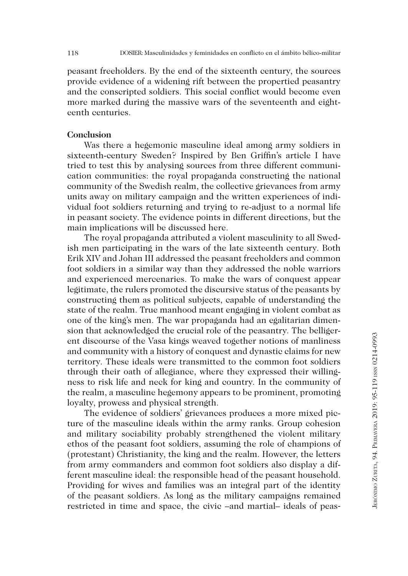peasant freeholders. By the end of the sixteenth century, the sources provide evidence of a widening rift between the propertied peasantry and the conscripted soldiers. This social conflict would become even more marked during the massive wars of the seventeenth and eighteenth centuries.

### **Conclusion**

Was there a hegemonic masculine ideal among army soldiers in sixteenth-century Sweden? Inspired by Ben Griffin's article I have tried to test this by analysing sources from three different communication communities: the royal propaganda constructing the national community of the Swedish realm, the collective grievances from army units away on military campaign and the written experiences of individual foot soldiers returning and trying to re-adjust to a normal life in peasant society. The evidence points in different directions, but the main implications will be discussed here.

The royal propaganda attributed a violent masculinity to all Swedish men participating in the wars of the late sixteenth century. Both Erik XIV and Johan III addressed the peasant freeholders and common foot soldiers in a similar way than they addressed the noble warriors and experienced mercenaries. To make the wars of conquest appear legitimate, the rulers promoted the discursive status of the peasants by constructing them as political subjects, capable of understanding the state of the realm. True manhood meant engaging in violent combat as one of the king's men. The war propaganda had an egalitarian dimension that acknowledged the crucial role of the peasantry. The belligerent discourse of the Vasa kings weaved together notions of manliness and community with a history of conquest and dynastic claims for new territory. These ideals were transmitted to the common foot soldiers through their oath of allegiance, where they expressed their willingness to risk life and neck for king and country. In the community of the realm, a masculine hegemony appears to be prominent, promoting loyalty, prowess and physical strength.

The evidence of soldiers' grievances produces a more mixed picture of the masculine ideals within the army ranks. Group cohesion and military sociability probably strengthened the violent military ethos of the peasant foot soldiers, assuming the role of champions of (protestant) Christianity, the king and the realm. However, the letters from army commanders and common foot soldiers also display a different masculine ideal: the responsible head of the peasant household. Providing for wives and families was an integral part of the identity of the peasant soldiers. As long as the military campaigns remained restricted in time and space, the civic –and martial– ideals of peas